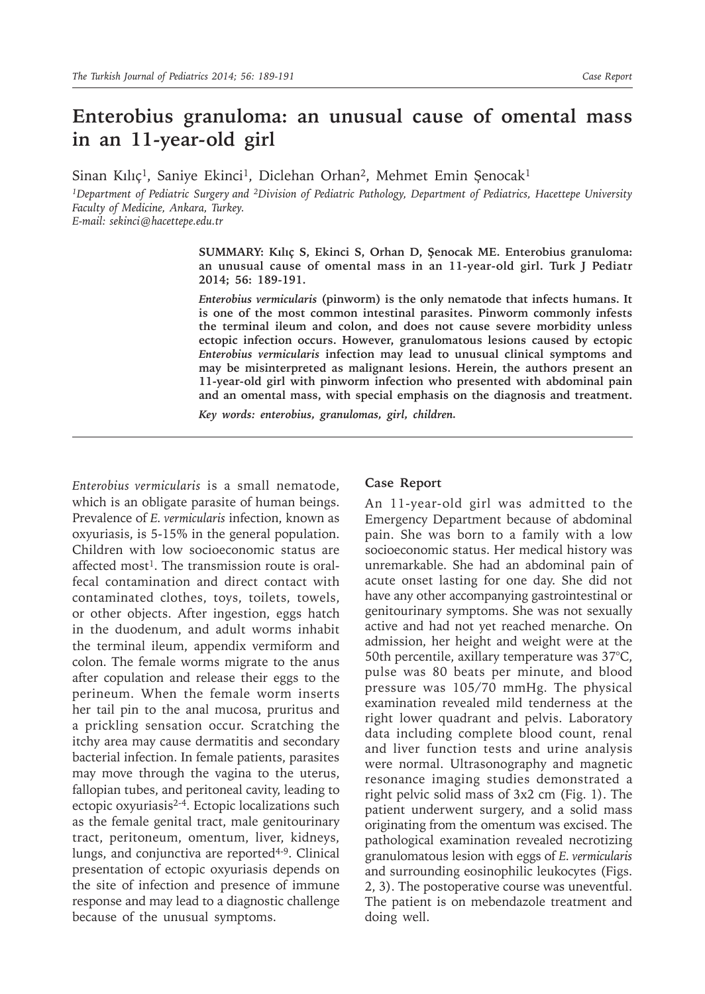## **Enterobius granuloma: an unusual cause of omental mass in an 11-year-old girl**

Sinan Kılıç<sup>1</sup>, Saniye Ekinci<sup>1</sup>, Diclehan Orhan<sup>2</sup>, Mehmet Emin Şenocak<sup>1</sup>

*1Department of Pediatric Surgery and 2Division of Pediatric Pathology, Department of Pediatrics, Hacettepe University Faculty of Medicine, Ankara, Turkey.*

*E-mail: sekinci@hacettepe.edu.tr*

**SUMMARY: Kılıç S, Ekinci S, Orhan D, Şenocak ME. Enterobius granuloma: an unusual cause of omental mass in an 11-year-old girl. Turk J Pediatr 2014; 56: 189-191.**

*Enterobius vermicularis* **(pinworm) is the only nematode that infects humans. It is one of the most common intestinal parasites. Pinworm commonly infests the terminal ileum and colon, and does not cause severe morbidity unless ectopic infection occurs. However, granulomatous lesions caused by ectopic**  *Enterobius vermicularis* **infection may lead to unusual clinical symptoms and may be misinterpreted as malignant lesions. Herein, the authors present an 11-year-old girl with pinworm infection who presented with abdominal pain and an omental mass, with special emphasis on the diagnosis and treatment.**

*Key words: enterobius, granulomas, girl, children.*

*Enterobius vermicularis* is a small nematode, which is an obligate parasite of human beings. Prevalence of *E. vermicularis* infection, known as oxyuriasis, is 5-15% in the general population. Children with low socioeconomic status are affected most<sup>1</sup>. The transmission route is oralfecal contamination and direct contact with contaminated clothes, toys, toilets, towels, or other objects. After ingestion, eggs hatch in the duodenum, and adult worms inhabit the terminal ileum, appendix vermiform and colon. The female worms migrate to the anus after copulation and release their eggs to the perineum. When the female worm inserts her tail pin to the anal mucosa, pruritus and a prickling sensation occur. Scratching the itchy area may cause dermatitis and secondary bacterial infection. In female patients, parasites may move through the vagina to the uterus, fallopian tubes, and peritoneal cavity, leading to ectopic oxyuriasis<sup>2-4</sup>. Ectopic localizations such as the female genital tract, male genitourinary tract, peritoneum, omentum, liver, kidneys, lungs, and conjunctiva are reported<sup>4-9</sup>. Clinical presentation of ectopic oxyuriasis depends on the site of infection and presence of immune response and may lead to a diagnostic challenge because of the unusual symptoms.

## **Case Report**

An 11-year-old girl was admitted to the Emergency Department because of abdominal pain. She was born to a family with a low socioeconomic status. Her medical history was unremarkable. She had an abdominal pain of acute onset lasting for one day. She did not have any other accompanying gastrointestinal or genitourinary symptoms. She was not sexually active and had not yet reached menarche. On admission, her height and weight were at the 50th percentile, axillary temperature was 37°C, pulse was 80 beats per minute, and blood pressure was 105/70 mmHg. The physical examination revealed mild tenderness at the right lower quadrant and pelvis. Laboratory data including complete blood count, renal and liver function tests and urine analysis were normal. Ultrasonography and magnetic resonance imaging studies demonstrated a right pelvic solid mass of 3x2 cm (Fig. 1). The patient underwent surgery, and a solid mass originating from the omentum was excised. The pathological examination revealed necrotizing granulomatous lesion with eggs of *E. vermicularis* and surrounding eosinophilic leukocytes (Figs. 2, 3). The postoperative course was uneventful. The patient is on mebendazole treatment and doing well.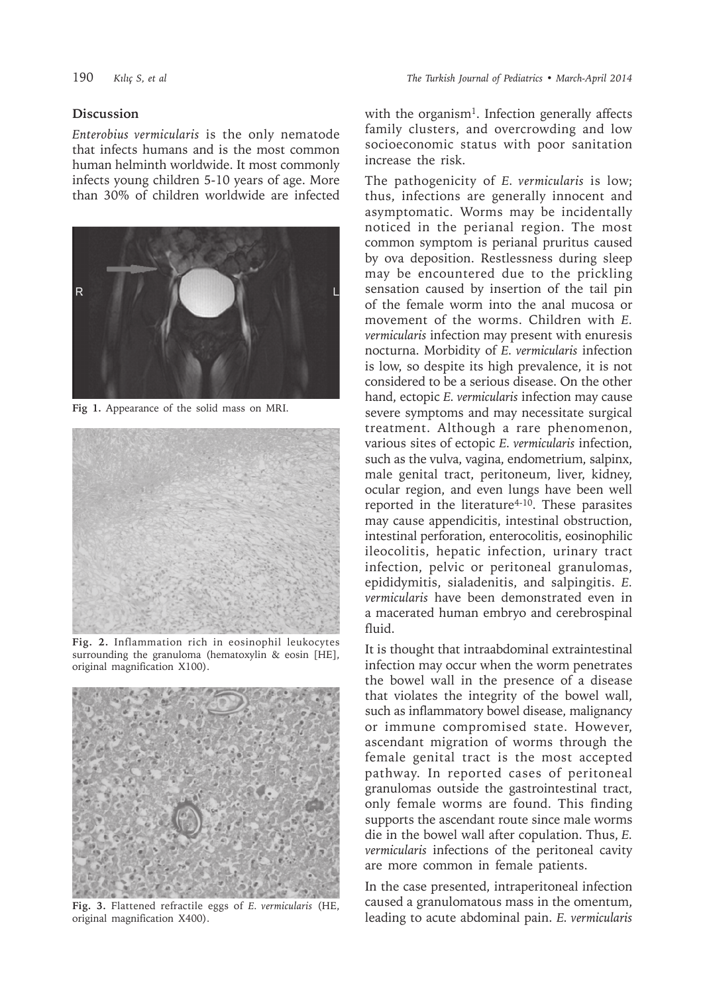## **Discussion**

*Enterobius vermicularis* is the only nematode that infects humans and is the most common human helminth worldwide. It most commonly infects young children 5-10 years of age. More than 30% of children worldwide are infected



**Fig 1.** Appearance of the solid mass on MRI.



**Fig. 2.** Inflammation rich in eosinophil leukocytes surrounding the granuloma (hematoxylin & eosin [HE], original magnification X100).



**Fig. 3.** Flattened refractile eggs of *E. vermicularis* (HE, original magnification X400).

with the organism<sup>1</sup>. Infection generally affects family clusters, and overcrowding and low socioeconomic status with poor sanitation increase the risk.

The pathogenicity of *E. vermicularis* is low; thus, infections are generally innocent and asymptomatic. Worms may be incidentally noticed in the perianal region. The most common symptom is perianal pruritus caused by ova deposition. Restlessness during sleep may be encountered due to the prickling sensation caused by insertion of the tail pin of the female worm into the anal mucosa or movement of the worms. Children with *E. vermicularis* infection may present with enuresis nocturna. Morbidity of *E. vermicularis* infection is low, so despite its high prevalence, it is not considered to be a serious disease. On the other hand, ectopic *E. vermicularis* infection may cause severe symptoms and may necessitate surgical treatment. Although a rare phenomenon, various sites of ectopic *E. vermicularis* infection, such as the vulva, vagina, endometrium, salpinx, male genital tract, peritoneum, liver, kidney, ocular region, and even lungs have been well reported in the literature<sup>4-10</sup>. These parasites may cause appendicitis, intestinal obstruction, intestinal perforation, enterocolitis, eosinophilic ileocolitis, hepatic infection, urinary tract infection, pelvic or peritoneal granulomas, epididymitis, sialadenitis, and salpingitis. *E. vermicularis* have been demonstrated even in a macerated human embryo and cerebrospinal fluid.

It is thought that intraabdominal extraintestinal infection may occur when the worm penetrates the bowel wall in the presence of a disease that violates the integrity of the bowel wall, such as inflammatory bowel disease, malignancy or immune compromised state. However, ascendant migration of worms through the female genital tract is the most accepted pathway. In reported cases of peritoneal granulomas outside the gastrointestinal tract, only female worms are found. This finding supports the ascendant route since male worms die in the bowel wall after copulation. Thus, *E. vermicularis* infections of the peritoneal cavity are more common in female patients.

In the case presented, intraperitoneal infection caused a granulomatous mass in the omentum, leading to acute abdominal pain. *E. vermicularis*